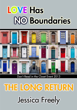# **LOVE Has NO Boundaries**



Don't Read in the Closet Event 2013

# **THE LONG RETURN Jessica Freely**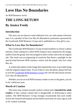## **Love Has No Boundaries**

#### *An M/M Romance series*

### **THE LONG RETURN By Jessica Freely**

#### **Introduction**

The story you are about to read celebrates love, sex and romance between men. It is a product of the *Love Has No Boundaries* promotion sponsored by the *Goodreads M/M Romance Group* and is published as a free gift to you.

#### **What Is Love Has No Boundaries?**

The *Goodreads M/M Romance Group* invited members to choose a photo and pen a letter asking for a short M/M romance story inspired by the image; authors from the group were encouraged to select a letter and write an original tale. The result was an outpouring of creativity that shone a spotlight on the special bond between M/M romance writers and the people who love what they do.

A written description of the image that inspired this story is provided along with the original request letter. If you'd like to view the photo, please feel free to join the [Goodreads](http://www.goodreads.com/group/show/20149-m-m-romance) M/M Romance Group and visit the discussion section: *Love Has No Boundaries*.

Whether you are an avid M/M romance reader or new to the genre, you are in for a delicious treat.

#### **Words of Caution**

Thisstory may contain sexually explicit content and is**intended for adult readers.** It may contain content that is disagreeable or distressing to some readers. The *M/M Romance Group* strongly recommends that each reader review the General Information section before each story forstory tags as well as for content warnings.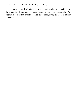This story is a work of fiction. Names, characters, places and incidents are the products of the author's imagination or are used fictitiously. Any resemblance to actual events, locales, or persons, living or dead, is entirely coincidental.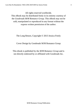All rights reserved worldwide.

This eBook may be distributed freely in its entirety courtesy of the *Goodreads M/M Romance Group*. This eBook may not be sold, manipulated or reproduced in any format without the express written permission of the author.

The Long Return, Copyright © 2013 Jessica Freely

Cover Design by Goodreads M/M Romance Group

This ebook is published by the *M/M Romance Group* and is not directly endorsed by or affiliated with Goodreads Inc.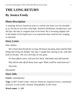## **THE LONG RETURN By Jessica Freely**

#### **Photo Description**

A stunning African American man in a stylish suit looks over his shoulder at us. He has an oval face with high, chiseled cheekbones, hooded eyes, and full lips. His hair is cropped close to his head. He is frowning slightly and in the depths of his liquid eyes is an expression that could be lust, longing, or reproach.

#### **Story Letter**

#### *Dear Author*,

*We've been best friendsforso long. He knows my pains, fears and the little things that bring me delight. One day, I caught him, staring at me, with that look on his face. The very next day, he was gone.*

*It's been fifteen years, and now he's back. Self-made and self-assured. Why did he take off all those years ago? What could he want from me?*

*Sincerely,*

*Alessandra*

#### **Story Info**

**Genre:** contemporary

**Tags:** LGBT Youth Center, African American, long-lost lovers, community activism, at-risk youth, reunited, homophobia, in the closet

**Word count:** 11,388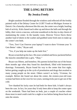### **THE LONG RETURN By Jessica Freely**

Bright sunshine flooded through the windows and reflected off the freshly painted walls of the Delany Center for LGBT Youth on Michigan Avenue in Detroit. On a Saturday afternoon like this one, the center was a bright, bustling hub of activity. Kids chased each other up and down the halls and through the lobby, their voices a raucous, welcome soundtrack to the day-to-day chores of maintaining the center. In the laundry room, Director Trevor Davis threw another load of sheets in the washer and grabbed some fresh ones to make up the center's ten beds.

"Trev, Trev! Can I borrow your laptop? I want to show Vivienne your 'It Gets Better' video," Bryan said.

"Yes, if you help me make up the beds first."

Bryan scrunched up hisface. His nose wrinkled and brow puckered before the muscles smoothed into a grin. "Okay."

Bryan was fifteen, and homeless. His parents kicked him out of the house three months ago when they found his sketchbook, filled with homoerotic drawings. Fortunately, Bryan found his way to the center that first night, before getting caught up in the cycle of prostitution and drugs that awaited so many young people on the street. Others weren't as lucky. Vivienne, for example. Before she found out about the center, the sixteen-year-old trans woman had been on her own for two years, turning tricks just to get out of the cold.

Trev thanked his lucky stars he had beds for these kids. It hadn't always been the case. In fact, for years they'd only been able to keep the center open on the weekends. There had been no beds, just a couple of couches where those most in need could crash for a night or two before being thrust back out onto the streets.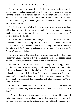But for the past five years, increasingly generous donations from the Mathis Foundation had changed all that. They came unsolicited every quarter. Now the center had two dormitories, a vocation center, a kitchen, even a rec room. And they'd attracted the attention of the Community Initiative Coalition, whom they'd be meeting with on Monday about expanding their mission even further.

Trev had written the Mathis Foundation several times, thanking them, telling them what a difference they had made. He'd never gotten an answer, much less an explanation. All the same, this was one gift horse he wasn't about to look in the mouth.

As Trev followed Bryan to the dorms, he paused at the rec room. Carlos and Dean were in there, playing Ping-Pong. Carlos's shot went wild and hit Dean on the forehead. They both broke down laughing. Trev's heart swelled at the sight of kids finally getting a chance to be kids again. That was what the Delany Center was all about.

How many times had he wished there'd been a place like this when he and Shane were young? Maybe, if they'd been around people who accepted them for who they were, things would have turned out differently.

He could still picture Shane at seventeen, all long limbs and big, luminous eyes, but not awkward, never that—graceful, beautiful, with warm brown skin, and a smile that could light up the whole city. Trev, with his dark complexion and geeky appearance, differed from Shane in almost every way. Shane was outgoing; Trev was shy. Shane was athletic; Trev was a bookworm. Shane dropped out of high school; Trev graduated with a full scholarship to Wayne State University.

But none of that ever seemed to matter. Best friends since the age of ten and lovers at fifteen, they were inseparable. At least that's what Trev had thought.

He'd never know why Shane suddenly up and left him. He could still picture that moment at his graduation party when their gazes met across the crowded backyard. The weight of the memory bowed his shoulders down.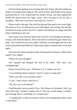It had just been getting on to evening, that time of day when the setting sun makes everything seem magical. The smell of lilacs and freshly mown grass perfumed the air. Trev looked past his Auntie Cecilia, who had trapped him beside the punch bowl, her high, whiny voice buzzing in his ear like a mosquito. "Why don't you have a nice girl yet, Trevor?"

Shane stood at the gate. His oval face glowed like gold in the warm light. He stared at Trev, his dark-brown eyes half-lidded, unwavering. His full lips turned down at the corners, but Trev couldn't tell if Shane was angry with him about something or just sad.

Trev broke away from his auntie and wove his way through the throng of sweaty, well-dressed relatives. But by the time he reached the gate, Shane was gone. Trev looked all over and couldn't find him, not that night and not in the weeks and months that followed. Shane had simply vanished, never to be seen again.

That last look Shane had given him still haunted his dreams. What had it meant? Trev sighed.

"Penny for your thoughts."

Trev jumped and dropped his end of the sheet. "Oh, sorry. Just woolgathering."

Bryan narrowed his eyes. "Whatever it is, it makes you sad."

"I was thinking about someone I haven't seen in a long time."

"Well, why don't you visit him, then?"

"I can't. I don't know where he is."

"Oh. He's not on Facebook?"

It had honestly not occurred to Trev. Was Shane on Facebook? *Don't go down that road.* "It doesn't matter if he is. The way we left things, I couldn't just message him or something. It's complicated."

"'Complicated' is what my parents used to call anything they didn't want to talk about."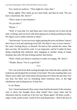Trev raised an eyebrow. "That might be a hint, then."

Bryan sighed. They made up two more beds, and then he said, "Do you have a boyfriend, Mr. Davis?"

"That's none of your business."

"So you don't."

"Bryan—"

"Well, it's just that Viv and Dean and I have noticed you're here all the time, working, and you never talk about going out or doing anything exciting. We figure you're either married or alone."

"Just because I'm not out every night painting the town red doesn't mean I don't have a rich and satisfying social life. Not that it's any of your concern." He wasn't fooling Bryan, or himself. He had no life outside the center. But that was fine. He loved his work. It was important, and he'd rather be here, doing something that mattered, than engaging in another string of empty hookups that only left him feeling lonelier than before.

"Well, I think you deserve someone to make you happy, Mr. Davis."

"Thanks, Bryan. You're a good kid."

\*\*\*\*

Trev was at the front desk sorting through mail when the door opened. He looked up and dropped the envelope in his hand. The man standing there was fifteen years older and vastly better dressed than he'd been the last time Trev saw him, but there was no mistaking those luminous eyes, or the high cheekbones and arching brows of that face.

It was Shane.

Trev's heart hammered. How many times had he dreamed of this moment, only to shove the thought down deep inside? How many times had he rehearsed what he would say if he ever saw Shane again? All those words angry words, joyful words, words of love and desperation—fled in the face of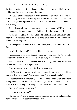the living, breathing reality of Shane, standing here before him. Their eyes met and he couldn't speak. He couldn't move.

"It's you." Shane strode toward Trev, grinning. His hair was cropped close to hisshapely head. He wore black jeans, a white dressshirt open at the collar, and a black sport coat printed with a white fleur-de-lis pattern. "I can't believe it! It's really you."

Suddenly conscious of his own faded jeans and raggedy WSU sweatshirt, Trev nodded. His mouth hung open. With an effort, he closed it. "Sh-shane."

"Man, how long has it been?" Shane held out his hand, and like iron to a magnet, Trev reached for it. Shane's hand enveloped his in warmth and strength. It felt so good.

"Fifteen years," Trev said. *Make that fifteen years, two months, and three days.*

"You're looking good." Shane still held Trev's hand.

Heat radiated from their clasped palms, spreading through Trev's body. Sweat broke out on his forehead. He pulled away. "Thank you."

Shane reached out and touched one of the tiny, inch-long dreads that covered Trev's head. "I like your new do."

"I've been wearing my hair like this for seven years."

"Oh." Shane took a deep breath and nodded. He looked chastened for a moment, then he smiled. "Your glasses haven't changed, though."

"I got these frames a month ago. I like the retro style." Were they really having a conversation about Trev's hair and glasses? What the fuck was this? What was Shane doing here? Why had he come back after all this time?

"So... you're the director here."

"How do you know that?"

"Says so here." Shane leaned over and picked up the ID badge hanging from Trev's neck. His scent enveloped Trev.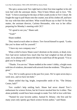The spicy aroma took Trev right back to their first time together in his old twin bed with the astronaut sheets. They'd been fifteen and in love. "Oh. Yeah." A fierce yearning for the days of their youth awoke in Trev's heart. He fought the urge to pull Shane onto the counter, tear all his clothes off, and have his way with him then and there. What would Bryan say to that? Or for that matter, the assistant director, Carlotta Hernandez, who was in her office preparing for Monday's meeting with CIC?

"It's good to see you," Shane said.

"Yeah?"

Shane nodded.

They stared at each other in silence. Trev forced himself to speak. "Looks like you've done well for yourself."

"I have my own company now."

What a relief to know Shane wasn't destitute on the streets, or dead, even. Trev had never realized how much that fear had weighed on him all these years. In its absence, he almost felt like he could float off the ground. "I'm so glad you're doing well."

"Thanks. You are too." Shane nodded at the center's lobby, a bright room with lots of windows, decorated with artwork from the residents. "This place is great."

"It is. We've really grown in the past five years. We're open seven days a week now, and we have ten beds."

Shane smiled that big, bright, irrepressible smile of his. "The Delany Center, huh?"

Trev couldn't help smiling back. Shane had never shared Trev's enthusiasm for science fiction, but he'd never mocked him for it either. That alone probably would have been enough to make Trev fall in love with him.

"Named for your favorite author, Samuel R. Delany—the first and for many years only openly gay black science fiction author," said Shane.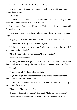"You remember." Something about that made Trev want to cry, though he couldn't explain it.

"Of course."

The years between them seemed to dissolve. The words, "Why did you leave me?" were on the tip of Trev's tongue.

A shout came from behind him, and Vivienne ran into the lobby with Bryan right on her heels.

"I told you if you touched my stuff one more time I'd kick your tranny ass!"

"Hey, Bryan. We don't use words like that here, remember?" Trev said.

"But he—she stole my magic markers again."

"I didn't steal them. I borrowed one." Vivienne's lips were bright red. "I was going to give it back."

"After it's been all over your mouth? I don't want it!"

"Fuck you, transphobe!"

"Both of you, just stop right now," said Trev. "Come with me." He waved them into his office. "Sorry," he said to Shane. "I have to take care of this."

"I'll wait."

"Where's Carlotta?" Trev asked the kids.

"Right here, right here," said the center's assistant director, rushing into the lobby with an armful of paperwork.

"Carlotta, this is Shane Edwards, an old friend of mine. Could you give him a tour of the center?"

"Of course." She beamed at Shane.

"It was good seeing you again," Trev said. "Take care of yourself."

Carlotta gestured toward the rec room. "If you'll come with me?"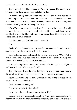Shane looked over his shoulder at Trev. He opened his mouth to say something, but Trev turned away and shut the door.

Trev sorted things out with Bryan and Vivienne and made a note to ask Carlotta to give Vivienne some of her cosmetics. The dispute between them was a welcome distraction, but within twenty minutes both kids had forgotten all about it and gone back to being friends again.

When Trev returned to the front desk, Shane was still there chatting with Carlotta. He leaned in close to her and said something that made her throw her head back and laugh. They both looked up to see Trev. Shane's eyes were bright, and his smile lingered.

"I didn't know you'd still be here," Trev said.

"I am."

Again, silence descended as they stared at one another. Unspoken words seemed to crowd the air, making it hard to breathe.

Carlotta looked back and forth between Trev and Shane. "Um. Well, if you'll excuse me, I've got some more work to do. Lovely meeting you, Shane." She picked up a stack of files and left.

Trev walked up to the counter and leaned on it, facing Shane. *Might as well have this out.* "Why are you here?"

Shane shrugged. It was the same liquid gesture he'd perfected at the age of thirteen. If anything, it was even sexier now. "I wanted to see you."

*Now* Shane wanted to see him. What about any of the previous fifteen years? "Well, you've seen me."

"And I wanted to thank you."

Trev took a step back. "For what?"

"You inspired me to do something with my life."

Great, now he was a source of inspiration. What was he supposed to say to that? "Well, you're the one who's made something of yourself. I'm proud of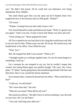you." He didn't feel proud. All he could feel was bitterness over being abandoned. How childish.

The smile Shane gave him was the same one he'd flashed when Trev taught him how to do fractions back in fifth grade. "Really?"

"Of course."

"Thanks. Coming from you that really means a lot."

Trev forced himself to smile and held out his hand. "Well, it's good to see you again." And it was true, if only to know that Shane was alive and well.

"Great seeing you." Shane gripped his hand.

All Trev wanted to do was haul him in for a hug that would never end. But it was too late for that. Fifteen years too late. He let go. He turned away and headed back to his office. Tears filled his eyes.

"Wait, Trev."

Shit. He stopped but didn't turn around. "What is it?"

"I thought maybe we could get together later. Go out for some burgers or something. Catch up."

For a moment he was tempted to say yes, but he couldn't reopen that wound. Just seeing Shane again was painful enough. "Oh, sorry. No, I have plans." If "plans" meant going home and anesthetizing himself with beer and television, then it was a perfectly honest statement.

Five minutes later. Carlotta let herself into his office. "Who in the hell was that?"

"I told you. An old friend."

"He's more than that," she said.

"What do you mean? What did he tell you?"

She raised an eyebrow. "He didn't have to tell me anything. I saw the look on your face. He's an old flame."

"Very old. And long since died out."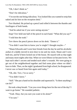"Oh, I don't think so."

"Don't be ridiculous."

"I'm not the one being ridiculous. You looked like you wanted to strip him naked and do him on the reception desk."

Trev blushed. He picked up a pencil and rolled it between the thumbs and forefingers of both hands.

"And he asked me if you were seeing anyone."

*Snap!* Trev held one half of the pencil in each hand. "What did you say?"

"I told him the truth."

Trev threw the pencil pieces down on his desk. "Damn it."

"You didn't want him to know you're single? I thought maybe—"

"Shane Edwards and I were best friends from the day he and his alcoholic asshat of a daddy moved in next door to me and my mom. Shane and I were both ten, and he'd been locked out of the house. He stayed with us that night and many more nights after that. When we were fifteen we became lovers. We kept each other's secrets and tended each other's wounds. We were going to get out of the neighborhood together and find some place where we didn't have to hide. Then, on the night I graduated from high school, he disappeared. I never saw or heard from him again until today."

"Oh, shit. Trev, I'm so sorry."

"You didn't know."

"Still." She put a hand on his shoulder and squeezed it. "Is there anything I can do?"

He took a deep breath. "Can you cover things here for the rest of the day? I want to go home." He sounded pathetic.

"Yeah. Okay, but you sure you want to be alone?"

"I'm sure."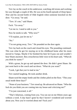Trev lay on the couch in his underwear, watching old reruns and working his way through a couple of 40s. He was on his fourth episode of *Deep Space Nine* and his second bottle of Olde English when someone knocked on the door. "Go away," he said.

"Trev. It's me," said Shane.

Fuck. "Go away."

"Let me in. I need to talk to you."

Now he needs to talk. "Why now?"

"I'll explain, just let me in."

"No."

"I'm not going away, Trev." He pounded on the door again.

Trev lay back on the couch and closed his eyes. The pounding continued. This was what he got for staying on in his childhood home after his mom moved to Tampa. Maybe if he finished his beer he'd pass out and wouldn't hear Shane anymore. But a treacherous little voice in his heart said, *"What do you think he wants?"*

With a groan, he got up and opened the door. He didn't greet Shane. He just went back to the couch and sat down. "What do you want?"

"Look, I get that you're mad at me."

Trev started laughing. He took another drink.

Shane eyed the empty bottle and the clothes piled on the floor. "This your usual mode these days?"

"None of your business." Trev stood up. He advanced on Shane. "Who the fuck do you think you are coming into my house and criticizing me?"

"I'm just concerned, is all."

"That's hilarious, coming from you. You ran out on me fifteen years ago without a word. A day hasn't gone by that I haven't wondered and worried about you. Now you're worried about me? Fuck you!"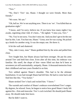"Trev."

"No. Don't 'Trev' me, Shane. I thought we were friends. More than friends."

"We were. We are."

"Oh, hell no. We're not anything now. There is no 'we'. You killed that on graduation night."

"I know, and I'm sorry, believe me. If you knew how many nights I lay awake, regretting what I did. It's been..." He sighed. "I miss you, Trev."

"No. You're not sorry. You don't miss me. And you don't get to be the one hurt by this. I am. You hurt me, Shane." Great, now he was crying. He picked up a bottle for another swig. It was the empty one. He threw it.

It hit the wall and shattered.

"Hey, take it easy, man." Shane grabbed him by the arms and pulled him close.

Trev fought him, but Shane always had been stronger. He put his arms around Trev and held him close. Even after all this time, his embrace was familiar. His smell, the shape of him—more filled out than he'd been at seventeen yet still unmistakably, uniquely, Shane. A thousand memories from their childhood and teen years flooded in on him.

Trev sobbed against Shane's shoulder. This had to be the ultimate humiliation. It was bad enough Shane had left him. He had to come back and find him like this. "You fucker."

Shane stroked Trev's back and rocked him. "I know."

The warmth and comfort of Shane's embrace overwhelmed Trev's anger. By degrees, he relaxed. Soon, he began to notice how good Shane's body felt against his—firm and muscular. Trev's cock twitched. He should push Shane away. He should make him leave.

But he didn't want to.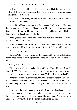He lifted his head and looked Shane in the eyes. Their faces were inches apart. God, those eyes. That mouth. Trev's cock hardened. He leaned closer, pressing his lips to Shane's.

Shane kissed him back, parting those voluptuous lips and drinking in Trev's pain and horniness.

He lost himself in the sweetness of the moment. His head spun. The room tilted around him. He wanted Shane. Now. He wrapped his arms around Shane's neck. He pressed his erection into Shane and began to flex his hips, dragging his hard cock back and forth.

Shane gripped Trev's arms and pulled free from his embrace. He took a step back. "No. Not like this."

"What? Why not? We're both adults." He looked down at Shane's hard-on tenting the front of his jeans. "You want it. I want it. Why shouldn't we?"

"Because you're drunk."

"So what? Here." Trev picked up the remaining bottle of Olde English. About three inches of malt liquor swirled around inside. "You can have the rest."

Shane just shook his head.

"Oh, so now you're too good to drink with me? Your old friend from the East Side? You're all fancy and you can't be associating with me anymore? Then why the fuck did you come here, Shane? Why did you come back?"

Shane ran one hand over his head. "I wanted to see you again. I wanted to try and make up for what I did and see if we could—" He let out a breath. "I wanted to help. But all I've done is hurt you more. This was a mistake. I'm sorry."

He left, and the world made sense again. Lonely walls echoed back the silence of fifteen years. Empty arms vibrated with the same hollow feeling they'd wrapped around for fifteen impossibly long years. Yeah, the world made sense. Trev lay back on the couch and finished his beer.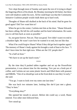Trev slept through most of Sunday and spent the rest of it trying to dispel the lingering effects of his drunk. By Monday morning he felt better, but there were still shadows under his eyes. All he could hope was that the Community Initiative Coalition people would chalk them up to hard work.

Thoughts of Shane still skulked at the back of his mind. Had he gone for good again? Did Trev want him to?

When he got to the center, Carlotta met him at the door. "Shane Edwards has been calling. He left his cell number and his hotel information. He wants you to call him back as soon as possible."

So, not gone forever. Not yet. That was good. Trev didn't want it to end in a drunken fight. He wasn't sure how he wanted it to end, but not like that.

What if he *could* forgive Shane? What if they did get back together again? The memory of Shane's body against his brought a rush of heat to his face. "I don't have time for that right now. When are the CIC people due?"

"In a half an hour"

"We have to set up the lunch room."

\*\*\*\*

By the time they'd pushed tables together and set up the PowerPoint presentation, it was almost time for the meeting. Trev put on a fresh pot of coffee, and Carlotta set out some plastic bowls and filled them with peanuts and M&Ms. "One of us should go wait at the front desk in case they're early," she said.

"You go. I want to look over my notes one last time."

She was back two minutes later, looking like she'd just met a ghost. "They're here."

"Everything okay?"

She opened her mouth to answer. Before she could say a word, Shane entered. Two other men followed him.

Trev stood up.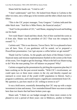Shane held his hands out. "I tried to call."

"I don't understand," said Trev. He looked from Shane to Carlotta to the other two men, one a white guy in histwenties and the other a black man in his fifties.

"This is the CIC project manager, Tony Gregson." Carlotta indicated the older black man. "And this is Mike Peters, the financial analyst."

"And I'm the president of CIC," said Shane, stepping forward and holding out his hand.

Trev took Shane's hand and they shook. Part of him watched the scene as if from afar. Shane was the president of CIC? That was the company he owned? "I..."

Carlotta said, "This is our director, Trevor Davis. We're so pleased to have you all here. Now, if you gentlemen will be seated, we've prepared a PowerPoint presentation. Can I get anyone a coffee before we get started?"

Thank God for Carlotta. As the graphs and charts of the Delany Center's financial status and mission implementation flashed on the screen at the front of the room, Trev fought to get his bearings. What in the hell was Shane trying to do? Was the man putting Trev off balance on purpose? Why?

Carlotta wrapped up the presentation by pitching the expansion plan they'd been working on for the past several months. "With CIC's involvement, we could open two or three more centers in the city and thereby expand our outreach to cover most of the youth LGBT population in Detroit. Such a program is ambitious, and would require a significant commitment from CIC. My question is, just how much is CIC willing to invest in us?"

It was a bold move, essentially demanding that CIC step up with a major investment in time and money. Trev reminded himself there was more at stake here than two hearts that had been broken years ago.

Shane said, "I think we can budget enough for three more centers to be phased in over a period of three years: one in Midtown, another in Palmer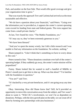Park, and another on the East Side. That would offer good coverage and give your organization time to grow."

That was exactly the approach Trev and Carlotta had arrived at asthe most sustainable and effective.

"We do have a question about your financials," said Peters. "Going over the information you've provided us, it appears the center's current operating costs exceed its funding from state and federal grants. The extra support has come from a small private charity."

At last, Trev found his voice. "The Mathis Foundation, yes."

"If I may say so, they've been extremely generous to you."

"We have been blessed."

"And you've spent the money wisely, but I did a little research and I was unable to find any information on the foundation. No website, nothing."

Shane jumped in. "I don't think that's something we have to worry about in this case."

Peters turned to him. "These donations constitute over half of the center's operating budget. If they suddenly go away, the center's entire mission will be jeopardized."

Funny. Shane looked like he wanted to stuff a handful of M&Ms in Peters's mouth just to get him to shut up. What was that about? "I'm familiar with the foundation in question."

"You are?" said Trev.

"It's backed by a very private benefactor, and it's not going away any time soon."

Okay. Interesting. How did Shane know that? Still, he'd provided an opportunity to move this conversation away from the subject, and Trev wasn't about to waste it. "With CIC's involvement, we won't be as dependent on donations. Perhaps, with the slow growth plan on the table, we can wean off of them by forming new partnerships with area businesses."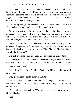"Yes," said Shane. "We can examine that aspect in more detail later, but I think we can all agree that the Delany Center has a proven track record of responsible spending and that this current plan, with the adjustments I've suggested, is a sustainable one. I think we have what we need to move forward." He looked at Peters, who nodded.

The meeting wrapped up, and everyone stood to leave. "Trev," said Shane. "Can you hang on a minute? I'd really like to talk to you."

Part of Trev just wanted to walk away, but he couldn't do that. He had a responsibility to the gay youth of Detroit. Shane Edwards might be heartbreak on two legs, but he was also the president of CIC. Trev didn't have to like his secretive ways, he just had to work with the man.

And, if he were completely honest with himself, he wanted an explanation for Shane's disappearance all those years ago. Maybe getting to the bottom of that would help clear the air between them. "Okay," he said. "Let's get lunch. You still like barbeque?"

The look on Shane's face told Trev he'd surprised the man. "Yeah."

"Come on, then. I'll drive." He took Shane to Slow's, an upscale barbeque place which, for all its trendiness, served some of the best ribs he'd ever had.

"Fancy," said Shane.

"Yeah, it's a far cry from Bobbie Joe's Grits 'n' Things, but I think you'll like the food."

They got a seat in a booth, ordered, and ate.

Shane devoured his pulled pork sandwich and mopped up the extra sauce with a slice of bread. "Listen, I'm sorry about this morning. I didn't mean to blindside you."

"That's why you were calling." Trev added his last rib bone to the others piled on his plate.

"Yes."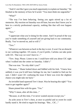"And it's not like I gave you much opportunity to explain on Saturday." He blushed at the memory of how he'd acted. "You must think me ungrateful."

"What?"

"The way I've been behaving. Seeing you again stirred up a lot of memories. My reaction on Saturday was off base, but now that I know you're here in a strictly professional capacity, nothing like that will ever happen again."

"Trev."

"I appreciate what you're doing for the center. And I'm proud of the way you've made something of yourself and are giving back to our community. Really. You've moved on, and so will I."

"Trev"

"Whatever was between us back in the day is over. It won't be an obstacle to our working together. Of course, if you'd prefer, Carlotta can take point with CIC. That way we won't have to—"

"Trev. Stop. Please. Listen to me. I could have told you about CIC right when I walked into the center on Saturday. I didn't."

That was true. "So why didn't you?"

"Because..." Shane looked down and fiddled with his fork. "I knew how unlikely it was you'd still have feelings for me, but I needed to find out for sure. I didn't want CIC confusing the issue if there was even the slightest chance you might take me back."

An invisible hand squeezed Trev's heart. Was he hearing this right? "You want to get together again?"

Shane pinned him with his gaze. "Yes."

"Why? I mean, after all this time..."

"Because, in all this time, I've never wanted anyone except you."

An ache arose in Trev's chest, at once so painful and so sweet he could hardly stand it. He tried to regain his bearings. "But... CIC..."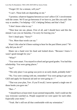"Forget CIC for a minute, will you?"

"I can't. Those kids are depending on me."

"I promise, whatever happens between us won't affect CIC's involvement with the center. We'll use go-betweens if we have to, just like you said. One way or another, I'm helping—CIC's helping Delany and that's final."

"I don't know what to say."

"Then hear me out, please. First of all, and I should have said this the minute I saw you on Saturday, I'm sorry for leaving you."

Trev's head spun. "Sorry?"

"Yes. More than words can say."

Wasn't this what he'd been waiting to hear for the past fifteen years? "Wwhy did you do it?"

Shane ran a hand over his head and looked down. "Because I knew I wasn't good enough for you."

"What?"

"You were smart. You stayed in school and got good grades. You had that scholarship. You were going places."

"So?"

"The only place I was going was juvie or an early death, probably both."

"No. You were coming with me, remember? You were going to get your GED and apply for financial aid and we were going to—"

"That was your plan, Trev. If you'll recall, I never opened a single one of those books you gave me."

"But—"

"I should have at least tried. It just seemed impossible. And I could see the way everyone watched us. People suspected we were queer for each other. Especially your mom."

"Yeah. She's still not all that comfortable with my orientation."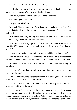"Well, she sure as hell wasn't comfortable with it back then. I can remember the looks she'd give me." He shuddered.

"You always said you didn't care what people thought."

Shane shrugged. "Bravado."

Trev just looked at him.

"It was all I had in those days, Trev. I can't tell you how many times I've cursed that stupid pride of mine, but honestly? I'm not sure I'd have survived without it."

Trev leaned forward, bracing his hands on the table. "That was for everyone else, Shane. Not me. Never for me."

"You're right. And the judgments of others wouldn't have made me leave you. Not if I thought for one second I was worthy of you. But I knew I wasn't."

"That was for me to decide, not you. You should have talked to me."

"You never would have abandoned me. I knew that. You'd have stuck by me and let me drag you down with me. I couldn't stand the thought of that."

"It never occurred to you that we could both make something of ourselves?"

"No. It didn't. Not then. It took me a long time to realize it was even a possibility for me."

"So your answer was to disappear without even saying goodbye? Do you have any idea what that was like for me?"

"I know. It was terrible. I don't know what more to say except that I was seventeen and I'm really sorry."

Trev stared at Shane, seeing in him his seventeen-year-old self, cocky and streetwise and secretly hurting. He ached for that boy, but he still wanted to strangle the man sitting in front of him. "Okay. I can see that part. But you should have written me, later, when you wised up. All this time, I didn't know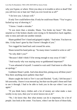why you'd gone, or where. Were you okay or in trouble or alive or dead? Did you still love me or hate me? Had you ever loved me at all?"

"I do love you. I always will."

If only Trev could believe that. If only he could trust Shane. "You've got a fucked up way of showing it."

"I know. I made a mistake."

"It was more than a mistake, Shane. You broke my heart." His chest smarted as if the broken shards were trying to fit themselves back together, only to miss and stab one another instead.

Shane grabbed Trev's hand and gripped it tightly. "And mine. You have no idea. A day hasn't gone by that I haven't thought of you."

Trev tugged his hand back and crossed his arms.

Shane turned his hand palm up. "So many times I wanted to write or call."

"So why didn't you?"

"Because I didn't think I'd be strong enough to stay away if I did."

"And exactly why was staying away so goddamned important?"

"I was ashamed of myself. I wanted to wait until I had more to offer than an apology."

Goddamn Shane's pride. And what about him, pining away all these years? Was there anything more pathetic than that?

Shane caught the look in Trev's eye and flinched. "Look, I left because I felt unworthy. I know it was messed up, but that wasthe path I chose and I had to see it through. I had to be able to look you in the eye when I saw you again."

"If you think fancy clothes and a lot of money are what make a man worthy in my eyes, then you've never known me at all."

"No. I do know that. But what money can do is important, for a lot of people. Just look at the center. You know, when I see the faces of those kids,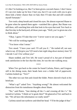it's like I'm looking at us, like I've been given a second chance. I don't know if I can ever make up for how I hurt you, but if I can work with you to give these kids a better chance than we had, then I'll take that and still consider myself fortunate."

Trev took a deep breath and closed his eyes. He almost expected Shane to be gone when he opened them again—vanished like a ghost. But Shane was still there, still watching him with that look in his eyes that took Trev back to that first day in the backyard, all those years ago. "Well, you've given me a lot to think about."

"Okay. I guess I'll take that over 'I never want to see you again.'"

"We will be working together."

"You know what I mean."

Trev stood. "I have your card. I'll call you if..." He trailed off, not sure what to say. *If I forgive you? If I need a late night shag down memory lane? If I decide I can't live without you?*

Shane nodded, and Trev left. He wasn't proud of it, but part of himself took satisfaction in the fact that this time, he was the one walking away.

\*\*\*\*

When Trev got back to the center he found Carlotta, Peters, and Gregson still in the dining room, their heads bent over a folder full of paperwork. Carlotta looked up. "Trev!"

The other two saw him and closed the folder. Peters shoved it back in his briefcase.

"What's up?" asked Trev. "Anything wrong?" He almost welcomed the distraction from his tumultuous thoughts about Shane.

"No," said Peters. "Just dotting all the i's and crossing all the t's." He turned to Carlotta. "I think we're good, then?" He glanced at Trev and back to her. "We all have the information we really need?"

Carlotta raised one eyebrow and tilted her head. "I'll be the judge of that."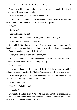Peters opened his mouth and then cut his eyes at Trev again. He sighed. "Very well." He and Gregson left.

"What in the hell was that about?" asked Trev.

Carlotta grabbed him by the arm and ushered him into his office. She shut the door behind her. She stood with her back to it, grinning.

"What?"

"Sit down"

"You're freaking me out."

"It's the Mathis Foundation. We figured out who it really is."

"What? You and Peters and Gregson?"

She nodded. "We didn't mean to. We were looking at the pattern of the donations over time and Peters let slip that the timing and amounts matched CIC's donations to the East Side Project."

"Okay, well, that's an odd coincidence, but—"

"It's not a coincidence. I did some checking on both East Side and Mathis and their inflows and outflows match up exactly."

"You mean—"

"One hundred percent of the East Side Project's inflow comes from CIC, and one hundred percent of the Mathis Foundation's outflow comes to us."

Trev's pulse quickened. "CIC isfunding the East Side Project and the East Side Project is funding the Mathis Foundation."

"Who's funding us."

"And Shane's behind it all?"

"Who else?"

Trev sat back in his chair. "Wow. All this time he's been supporting the center. Hey, wait, those donations from the Mathis Foundation go back five years. CIC's only been around for three."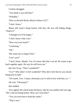Carlotta shrugged.

"You think it was still him?"

"Probably."

"How in the hell did he afford it before CIC?"

"I don't know."

Shane still wasn't being honest with him. He was still hiding things. "Damn it!"

"I thought you'd be happy."

"I don't know what I am."

"How was your lunch?"

"Confusing."

"Oh."

"He wants me to forgive him."

"Can't you?"

"I don't know. Maybe. Yes, of course. But that's not all. He wants to get back together again. He says he still loves me."

Her face lit up. "That's wonderful!"

"It is?" Why didn't it feel wonderful? Why did it feel like he was slowly being torn in half?

"Of course, Trev. I mean, obviously you're still in love with him, so—"

*Oh God.* "Obviously?"

She nodded.

Trev sighed. His whole body felt heavy, like he was stuffed with wet rags. "He's still not being honest. How can I trust him?"

"You can trust him to fund the center."

"That's true."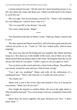Carlotta leaned forward. "All this time he's been funneling money to us. He cares about the center and about you. I think you both deserve the chance to work this out."

She was right. Was he just being a coward? No. "There's still something he's not telling me. I need to know what it is."

"He's in room 607 at the Westin," she said.

Trev took a deep breath. "Right."

\*\*\*\*

Trev knocked on the door of Shane'sroom. "Open up, Shane, I need to talk to you."

The door opened and Shane stood there, still in his dress pants and shirt but without the jacket or tie. "Come in." His face looked puffy. Had he been napping?

The room was tidy but the bedspread was rumpled, like Shane had been lying on it. His shoes lay in the middle of the room, one of them on its side. Shane picked them up and put them in the closet. He hung his head the way he always did when he was upset. "I didn't expect to see you again so soon."

Trev sat down on the couch and took a closer look at Shane. The puffiness was mostly around his nose and eyes. Had he been crying?

"Can I get you anything?" Shane said with all the enthusiasm of a condemned man. "There's the mini bar, or I could call room service."

"No, thank you."

Shane took a seat in the swivel chair and turned to Trev as if facing his executioner. "What can I do for you?"

Trev fought the impulse to comfort Shane. He was in the right, damn it. Why should he feel bad? "You can be honest with me. Completely honest this time."

Shane drew his brows together. His gaze flickered over Trev. "I don't know what—"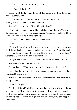"The East Side Project."

Shane's nostrils flared and he stood. He turned away from Shane and looked out the window.

"The Mathis Foundation is you. It's been you all this time. Nice one, naming it after the famous closeted musician."

Shane clenched his fists. "How did you find out?"

"Don't bother about that now. Though I should have known. You always did have a soft spot for that old school music. The point is, you haven't been honest with me. You're still hiding things."

"I didn't want you to know the money was from me."

"Why?"

"Because by then I knew I was never going to get over you. I knew one day I'd come back, even though I had no right to expect you'd still be single, or that you'd want me even if you were. If there was a chance for us, I didn't want the CIC money to be part of the equation."

"But you were funding the center two years before you even formed CIC."

Shane stared at him, his mouth open.

Trev pushed on. "You say you want to be a part of my life again."

"Yes." For the first time since he'd opened the door, a glimmer of hope brightened Shane's eyes.

It awoke a similar spark in Trev. One he tried to ignore. "And you want me to forgive you."

"More than anything."

Trev forced himself to hold the line even though all he really wanted to do was hold Shane. "I want the same things you do. I want to forgive you, but I can't do that unless you're completely honest with me. I need to know everything that happened the night you left, and everything that happened afterwards."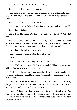Shane's shoulders drooped. "Everything?"

"Yes. Including how you were able to make donations to the center before CIC even existed." Trev's stomach knotted. On some level, he didn't want to know.

Shane closed his eyes and let his head drop back.

Just get it over with. "Was it drugs? Is that how you made the money?"

Shane shook his head.

Okay, good. Not drugs. But there were still worse things. "Well what, then?"

Shane went to the mini bar and opened a tiny bottle of scotch. He poured some in a glass and offered it to Trev, who took it in a white knuckled grip. Then he poured himself twice as much and downed it in one gulp.

God. It had to be bad, whatever it was.

"You remember when my father left," Shane said.

"Of course."

"You remember I was looking for a roommate."

"Yeah. Nothing ever came of it. I was just as glad. I liked having you stay with us. I never saw why you needed to-"

"Well, that ad I answered turned out to be a front for something else. This older man met me and bought me dinner. And then he offered me fifty dollars to blow him."

Trev took a deep breath and let it out. So that's what it was. So many things made sense now. His heart hurt for Shane but at least this was something he understood and could help with.

"I took it." Shane's words were hard, like a fist he beat himself with. "And then I answered a bunch more of those ads. Eventually I met a guy who paid me seventy-five to let him blow me." Shane turned away and bent his head. His breath hitched.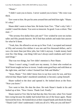"Shane."

"I didn't want you to know. I never wanted you to know." His voice was thick.

Trev went to him. He put his arms around him and held him tight. "Shane. It's okay."

Shane didn't seem to hear him. He broke from Trev. "That's why I left. I couldn't stand the shame. You were so innocent. So good. I was a whore. That man—"

"The seventy-five-dollar blow job one?" Trev wished he were ten inches taller and fifty pounds heavier. He'd find that asshole and make him answer for what he'd done.

"Yeah, him. He offered to set me up in New York. I accepted and instead of fifty and seventy-five dollars it was one and five thousand dollars, and it was a lot more than just blow jobs, but I did it anyway. I made money hand over fist. One thing—one thing I did was I always used condoms and I never used drugs."

That was two things, but Trev didn't mention it. Poor Shane.

"Since I wasn't using, I could save my money. A client who worked on Wall Street taught me how to invest. I made some good buys and sold them at the right time, and that's when I formed East Side and Mathis."

"Jesus, Shane." Trev didn't know how to say how sorry he was, and how relieved that Shane hadn't murdered somebody or become a pimp himself.

Shane walked to the door and opened it. He looked down at the floor. "Now you know."

Trev went to him. He shut the door. He took Shane's hands in his and looked up at him. "Now I know. Thank God. Finally."

Shane stared at Trev like he had that day they first met, when Trev found him crying because his daddy had locked him out of the house again. Shane furrowed his brow. He looked down at their clasped hands and shook his head. "Thank God? I don't understand. I told you all of it. Why are you still here?"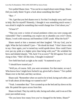Trev pulled Shane close. "You can be so stupid about some things, Shane. Did you really think I'd give a fuck about something like that?"

#### "But—"

"No. I get that you feel shame over it. For that I'm deeply sorry and I want to help. But for myself? Honestly, I thought it was something much worse. I was afraid it might be something that would change how I feel about you."

"It hasn't?"

"That you were a victim of sexual predators when you were young and vulnerable? That's something you expect me to abandon you over? Christ, Shane, I work with runaway and homeless LGBT youth. What the fuck?"

Shane stared at him a moment and then laughed. "Oh my God, you're right. What the fuck indeed? I just—" He shook his head. "I don't know what to say. Once again, you've turned my world upside down. How could I have ever put my pride at a higher price than being with you?" He wrinkled his brow and inhaled sharply. "Oh, fuck! I'm so sorry!" He fell against Trev and clung to him. "Shit! All this time, I thought it mattered."

Trev held him back as tight as he could. "It mattered to you."

"I should have trusted you."

"Well yes, of course. Still, you were seventeen. For that matter, so was I. Who knows how I might have fucked it up, given half a chance." Trev pulled Shane over to the bed, and they sat down.

Shane said, "Remember when we used to lie in bed, facing each other, and we'd talk about all the things we wanted to do?"

"Yeah. I remember that." Trev scooted up on the bed and lay down on his side. He patted the space across from him.

Shane reclined. They lay side by side, facing each other, and it was as if the years just melted away.

"Do you know how many lives you've changed for the better, Shane?"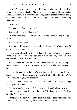He didn't answer, so Trev told him about Vivienne, Bryan, Dean, Hampton, Elise, Samantha, Iris, Malcolm, June, and Evander. The list went on and on. Each kid with their own unique story, but all of them with two things in common: Trev and Shane. "You've done good. You've done everything you set out to do."

"So did you."

Trev nodded. "And here we are."

Shane took his hands. "Together."

Trev squeezed back. They both leaned in, and Shane pressed his lips to Trev's.

It was like coming home.

Shane cradled Trev's face in his hands. He devoured Trev's mouth as if it were made of whipped cream.

Trev's cock stiffened. He grabbed Shane's hips and pulled him in close so Shane could feel how much he was wanted. "You're home," Trev said when they broke their kiss. "We both are."

Shane nodded and dove back in for another mouthful of Trev, sliding his tongue between Trev's lips, licking and sucking. Little whimpers escaped his throat.

The needy sounds awoke Trev's own longing. He threw one leg over Shane and wrapped his arms around Shane's chest, holding him tight. "I'm never letting go of you. Never again."

Shane's breath hitched. "Don't. Keep hold of me. I don't ever want to go away again." He trembled.

Trev ran a hand up the side of Shane's face and over his head, stroking his skin and the close-cropped hair on his scalp. "Oh, Shane, what you've been through. I'm so sorry."

Shane shook his head. "I took care of myself, Trev. I get tested twice a year and I haven't had sex with anyone in three years. I'm healthy."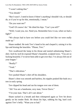"I wasn't asking that."

"You should."

"But I wasn't. I need to know if there's anything I shouldn't do, or should do, or if you're up for this, emotionally, I mean."

"Do you want me?"

"God! Of course I do." He tilted his hips. "Can't you tell?"

"Well, I want you, too. Need you. Remember how it was, when we had a fight?"

"We always had to have sex before you could feel like we were really made up."

Shane nodded. He took Trev's hand in his and clasped it, raising it to his lips and kissing the knuckles. "Please, Trev."

Trev swallowed the lump in his throat and started unbuttoning Shane's shirt. Inch by inch he exposed Shane's beautiful, sculpted torso. "You are so fucking beautiful. I've never been able to get over that. I've always felt out of your league."

"Really?"

"Yeah"

"That's ridiculous."

Trev pushed Shane's shirt off his shoulders.

Shane's chest was smooth and hairless, his nipples peaked like buds on a tree in early spring.

Trev dipped his head and ran his tongue over one of them.

"Ah! You are a handsome, sexy man, Trevor Davis."

"I'm your man. That's all I care about."

Shane sucked in a breath and then whimpered again as Trev bit down gently on his tender flesh. He thrust his hips, rubbing his big, hard cock against Trev's belly. "Want you so bad."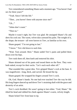Trev remembered something Shane said a moment ago. "You haven't had sex for three years?"

"Yeah. Since I left the life."

"Then... you haven't been with anyone since me?"

"Uh. $"$ 

"Johns don't count."

"Then no."

Maybe it wasn't right, but Trev was glad. He unzipped Shane's fly and drew his cock out. The warm, velvet skin caressed his palm. The weight of it, the shape, the texture—all were known to Trev, as familiar as his own.

Shane gasped. "I'm not going to last."

"I know." Trev slid down to suck him.

"Wait. Turn around. Here." Shane undid Trev's pants and pulled them down over his hips.

Trev took them off, then knelt and removed his shirt.

Shane skinned out of his pants and tossed them on the floor. They were both naked, except for their socks. "Let's suck each other off."

That sounded like a great idea. Trev gripped Shane's cock at the base. It was magnificent—long, thick, and curved. He kissed the tip.

Shane gasped. He wrapped his fingers around Trev's cock.

Oh, God. Shane's hands. No one had ever touched Trev the way he did. His long fingers danced up and down Trev's straining shaft with the grace and dexterity of an artist.

Trev's cock throbbed. He wasn't going to last either. "God, Shane." He tilted his head and rubbed his cheek against Shane's warm, velvety length.

Shane licked Trev from base to tip.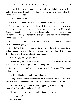Trev curled his toes. Already arousal pooled in his belly, a warm fizzy feeling that spread throughout his body. He opened his mouth and sucked Shane down to the root.

"God!" Shane jerked.

Wet heat enveloped Trev's cock as Shane took him in his mouth.

Trev swirled his tongue around the head of Shane's cock, circling in to lap at his slit. The sweet, sharp taste of precum filled his mouth. Meanwhile, Shane's wet suction on Trev's cock made the pool of need in his belly simmer. Trev thrust shallowly and pressed his tongue to the cleft on the underside of Shane's cock head.

Shane moaned. The sound made Trev's skin tingle all over. He knew that moan. Shane was going to come soon.

Shane bobbed his head, dragging his lips up and down Trev's shaft. Trev's balls tightened. He was going to come soon, too. He pulled off Shane and flipped around so they were face to face again.

"What are you doing?" said Shane.

"I want to see your face when we both come." Trev took Shane in hand and stroked, his fingers gliding over the hot, damp flesh.

Shane opened his mouth, and his eyes went wide. He grabbed Trev's cock and pumped him.

Trev flexed his hips, thrusting into Shane's hand.

Sweat glistened on Shane's chest and ran in little trails down the side of his face. His eyes clouded over with desire. His breath was warm on Trev's face.

Trev could scarcely believe this was happening. How many nights had he dreamed of this, only to wake up alone?

"Oh God, Trev, I love you so much!" Shane's cock swelled.

"I love you too."

Their eyes met.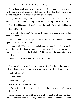Desire, heartbreak, and joy mingled together in the pit of Trev's stomach, swirling around until he couldn't tell one from the other. It all boiled over, spilling through him in a rush of warmth and sweetness.

They came together, shooting cum all over each other's chests. Shane pulled Trev close, and they clung to one another through the aftershocks.

Trev closed his eyes and breathed deep the smell of their mingled bodies.

Shane shivered.

"Here. Get up for a sec." Trev pulled the covers down and got in, holding them open for Shane.

Shane climbed in and wrapped his arms around Trev. They lay entwined together, sticky with sweat and cum.

Lightnessfilled Trev like a helium balloon. He could float right up into the sunny blue sky with Shane, the two of them shocking airplane passengers. He giggled. Had he ever felt like this before? "I think this is the happiest moment of my life."

Shane rested his head against Trev's. "It is mine."

\*\*\*\*

They must have dozed, because the next thing Trev knew the room was dark and Shane lay beside him, gazing at him with a soft smile on his lips.

"Did I fall asleep?"

"Mmm hmm."

Trev's stomach growled.

Shane grinned. "Room service?"

"Why not? Just tell them to leave it outside the door so we don't have to get dressed."

Shane ordered burgers and fries and, in a fit of guilt, fresh fruit. He threw on a robe to retrieve the food. They picnicked on the bed, feeding each other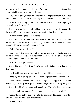fries and throwing grapes at each other. Trev caught one in his mouth and then spit it out at Shane. He hit him in the eye.

"Oh. You're going to get it now," said Shane. He picked the tray up and set it down on the coffee table, dipped a fry in ketchup and advanced on Trev.

"What are you doing?" Trev scrambled across the bed. "You're going to get ketchup on the sheets."

Shane knelt on the bed and grabbed Trev by one ankle. He hauled him down until Trev was under him, and then he straddled Trev's hips.

Trev was laughing too hard to resist.

Shane pinned him down with one hand in the middle of his chest and poked Trev on the nose with the French fry, daubing him with ketchup. Then he marked Trev's forehead, cheeks, and chin.

"Agh! What are you doing?"

"You'll see." Shane ate the fry, then leaned over and ran his tongue over the tip of Trev's nose. He licked Trev's forehead, cheeks, and chin. His warm, smooth tongue glided over Trev's skin.

"You're a freak, you know that?"

Shane, his face inches from Trev's, grinned. "Takes one to know one, Spaceman."

Trev lifted his arms and wrapped them around Shane's neck.

Shane lay down on top of Trev. His hard-on pressed into Trev's belly.

Trev's pulse quickened. He spread his legs and wrapped them around Shane's hips. Already he imagined Shane sliding inside him, fitting into place.

Shane flexed his hips, dragging his cock over Trev's balls and perineum.

The heat and friction made Trev's hole pulse. "You got any lube?"

"Yeah." Shane got up and went into the bathroom. He came back with a tube of Astroglide and a box of condoms.

"A whole box?"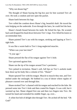"Why not dream big?"

The thought of Shane buying the big box just for him warmed Trev all over. He took a condom and tore open the packet.

Shane knelt between his legs.

Trev rolled the condom down Shane's big, beautiful shaft. He traced the vein bulging on the underside. Even through the latex, he could feel the heat.

Shane's breath hissed between his teeth. He licked his lips. He scooted back and dropped his head down between Trev's legs. Trev lifted his knees to accommodate him.

Shane painted Trev's ass with his tongue, stroking and lapping at Trev's tight hole.

It was like a warm bath to Trev's long-neglected muscles.

"When was your last time?"

"A year ago."

Shane pressed the flat of his tongue against Trev's hole.

Trev quivered against him.

Shane ran the tip of his tongue around Trev's perimeter.

Trev pulsed in invitation. Shane's soft, full lips on Trev's asshole made heat shoot up his body like a column of fire. "Shane!"

Shane speared Trev with his tongue. Muscle to muscle they met, and Trev melted under the onslaught. He bobbed in a sea of desire where ripples of pleasure coursed over and through him.

Shane stroked Trev's channel with histongue and reached for the lube. He pressed some into Trev's hole and then coated his fingers. It was cold, but it warmed up fast. Shane slipped first one and then two fingers into Trev. He turned his hand and extended his middle finger, up, over...

A white-hot bolt of delight shot through Trev. He arched off the bed. "Oh God!"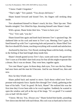"I knew I hadn't forgotten."

"That's right." Trev panted. "You always did know."

Shane leaned forward and kissed Trev, his fingers still stroking deep inside.

Trev abandoned himself to Shane's touch, his kiss. Their lips met. Their breaths mingled. Trev lifted his hips, thrusting himself onto Shane's hand.

With a groan, Shane broke their kiss. "I have to have you."

"Yes," Trev said, "you do."

Shane kissed him again and knelt back between Trev's upraised legs. He slathered lube on his cock and more in Trev's ass. Meeting Trev's gaze, he lined himself up with Trev's quivering hole and pressed in. Shane filled Trev like love should fill a home, touching everything with warmth and satisfaction.

Anchored by that love. Trev flexed, stroking Shane with his body, reveling in the feeling of that hard length deep inside him.

Shane's breath gusted across Trev's face, warm and sweet. He gazed into Trev's eyes asif he didn't dare look away for fear all this might evaporate like a dream. But it was no dream. They were here, together again.

Trev met Shane's gaze. In those deep, dark eyes, Trev saw the boy Shane had once been and the man he'd become. And he saw himself too, then and now.

How far they'd both come.

Shane pulled back and started to move. Each thrust rolled over Trev's prostate with majestic force. Sparksflew through Trev's body, gathering at the base of his balls. "God. So good. Oh fuck, Shane!" He realized this was the first time they'd ever been able to be vocal together. Suddenly he wanted to open the window and yell at the top of his lungs. "It's so good! I've wanted you so bad! All this time!"

"I know. Me too. You. Always you." Shane fucked him harder, pounding Trey down into the bed with each thrust. His cock was so hard and so hot it set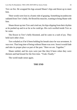Trev on fire. He wrapped his legs around Shane's hips and thrust up to meet him.

Their words were lost in a frantic tide of gasping. Something incandescent radiated from Trev's belly. He flexed his muscles, wanting to bring Shane with him.

Shane thrust up into Trev and cried out, his hips slipping from their rhythm as he pushed up and in as far as he could go. His cock swelled inside Trev as he came.

The flower in Trev's belly bloomed, and he came in a rush of joy. They held each other close.

Trev exhaled as if he'd been holding his breath since he was seventeen. It was over. That long time of being without Shane was over. Soon it would fade and take its proper place as part of the past. "Here we are. Together."

Shane smiled, and his eyes were just like they'd been when they were thirteen and had kissed for the first time. "Yeah. Finally."

The world made sense again.

#### **THE END**